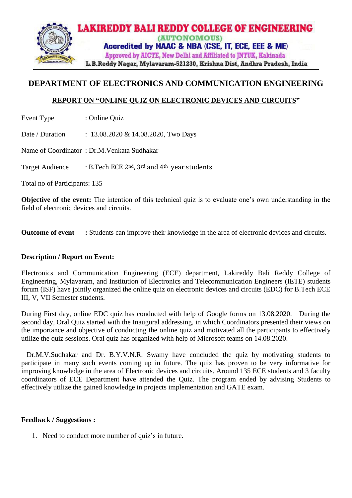

# **DEPARTMENT OF ELECTRONICS AND COMMUNICATION ENGINEERING**

# **REPORT ON "ONLINE QUIZ ON ELECTRONIC DEVICES AND CIRCUITS"**

Event Type : Online Quiz

Date / Duration : 13.08.2020 & 14.08.2020, Two Days

Name of Coordinator : Dr.M.Venkata Sudhakar

Target Audience : B.Tech ECE 2<sup>nd</sup>, 3<sup>rd</sup> and 4<sup>th</sup> year students

Total no of Participants: 135

**Objective of the event:** The intention of this technical quiz is to evaluate one's own understanding in the field of electronic devices and circuits.

**Outcome of event :** Students can improve their knowledge in the area of electronic devices and circuits.

## **Description / Report on Event:**

Electronics and Communication Engineering (ECE) department, Lakireddy Bali Reddy College of Engineering, Mylavaram, and Institution of Electronics and Telecommunication Engineers (IETE) students forum (ISF) have jointly organized the online quiz on electronic devices and circuits (EDC) for B.Tech ECE III, V, VII Semester students.

During First day, online EDC quiz has conducted with help of Google forms on 13.08.2020. During the second day, Oral Quiz started with the Inaugural addressing, in which Coordinators presented their views on the importance and objective of conducting the online quiz and motivated all the participants to effectively utilize the quiz sessions. Oral quiz has organized with help of Microsoft teams on 14.08.2020.

 Dr.M.V.Sudhakar and Dr. B.Y.V.N.R. Swamy have concluded the quiz by motivating students to participate in many such events coming up in future. The quiz has proven to be very informative for improving knowledge in the area of Electronic devices and circuits. Around 135 ECE students and 3 faculty coordinators of ECE Department have attended the Quiz. The program ended by advising Students to effectively utilize the gained knowledge in projects implementation and GATE exam.

#### **Feedback / Suggestions :**

1. Need to conduct more number of quiz's in future.